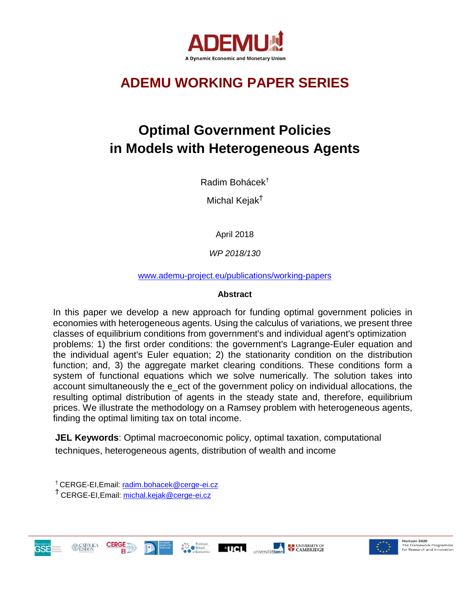

## **ADEMU WORKING PAPER SERIES**

# **Optimal Government Policies in Models with Heterogeneous Agents**

Radim Bohácek†

Michal Kejak<sup>Ť</sup>

April 2018

*WP 2018/130*

[www.ademu-project.eu/publications/working-papers](http://www.ademu-project.eu/publications/working-papers)

#### **Abstract**

In this paper we develop a new approach for funding optimal government policies in economies with heterogeneous agents. Using the calculus of variations, we present three classes of equilibrium conditions from government's and individual agent's optimization problems: 1) the first order conditions: the government's Lagrange-Euler equation and the individual agent's Euler equation; 2) the stationarity condition on the distribution function; and, 3) the aggregate market clearing conditions. These conditions form a system of functional equations which we solve numerically. The solution takes into account simultaneously the e\_ect of the government policy on individual allocations, the resulting optimal distribution of agents in the steady state and, therefore, equilibrium prices. We illustrate the methodology on a Ramsey problem with heterogeneous agents, finding the optimal limiting tax on total income.

**JEL Keywords**: Optimal macroeconomic policy, optimal taxation, computational techniques, heterogeneous agents, distribution of wealth and income

† CERGE-EI,Email: [radim.bohacek@cerge-ei.cz](mailto:radim.bohacek@cerge-ei.cz) <sup>Ť</sup> CERGE-EI,Email: [michal.kejak@cerge-ei.cz](mailto:michal.kejak@cerge-ei.cz)





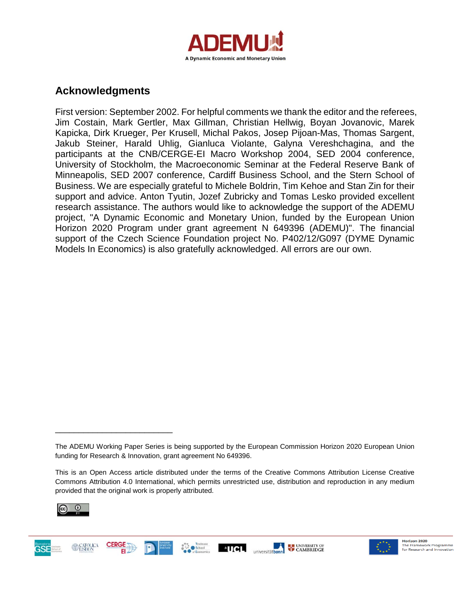

## **Acknowledgments**

First version: September 2002. For helpful comments we thank the editor and the referees, Jim Costain, Mark Gertler, Max Gillman, Christian Hellwig, Boyan Jovanovic, Marek Kapicka, Dirk Krueger, Per Krusell, Michal Pakos, Josep Pijoan-Mas, Thomas Sargent, Jakub Steiner, Harald Uhlig, Gianluca Violante, Galyna Vereshchagina, and the participants at the CNB/CERGE-EI Macro Workshop 2004, SED 2004 conference, University of Stockholm, the Macroeconomic Seminar at the Federal Reserve Bank of Minneapolis, SED 2007 conference, Cardiff Business School, and the Stern School of Business. We are especially grateful to Michele Boldrin, Tim Kehoe and Stan Zin for their support and advice. Anton Tyutin, Jozef Zubricky and Tomas Lesko provided excellent research assistance. The authors would like to acknowledge the support of the ADEMU project, "A Dynamic Economic and Monetary Union, funded by the European Union Horizon 2020 Program under grant agreement N 649396 (ADEMU)". The financial support of the Czech Science Foundation project No. P402/12/G097 (DYME Dynamic Models In Economics) is also gratefully acknowledged. All errors are our own.

**E UNIVERSITY OF** 



\_\_\_\_\_\_\_\_\_\_\_\_\_\_\_\_\_\_\_\_\_\_\_\_\_





The ADEMU Working Paper Series is being supported by the European Commission Horizon 2020 European Union funding for Research & Innovation, grant agreement No 649396.

This is an Open Access article distributed under the terms of the Creative Commons Attribution License Creative Commons Attribution 4.0 International, which permits unrestricted use, distribution and reproduction in any medium provided that the original work is properly attributed.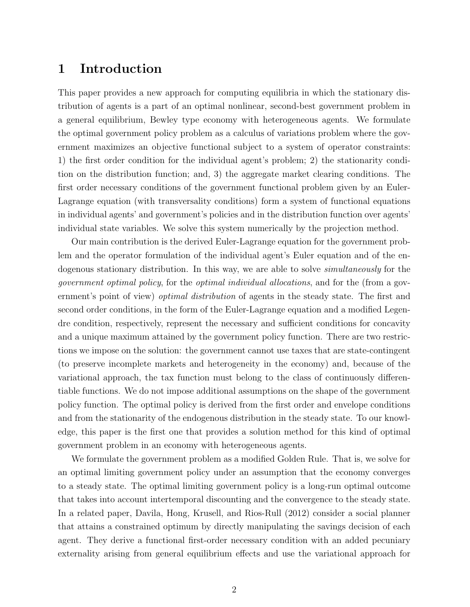## 1 Introduction

This paper provides a new approach for computing equilibria in which the stationary distribution of agents is a part of an optimal nonlinear, second-best government problem in a general equilibrium, Bewley type economy with heterogeneous agents. We formulate the optimal government policy problem as a calculus of variations problem where the government maximizes an objective functional subject to a system of operator constraints: 1) the first order condition for the individual agent's problem; 2) the stationarity condition on the distribution function; and, 3) the aggregate market clearing conditions. The first order necessary conditions of the government functional problem given by an Euler-Lagrange equation (with transversality conditions) form a system of functional equations in individual agents' and government's policies and in the distribution function over agents' individual state variables. We solve this system numerically by the projection method.

Our main contribution is the derived Euler-Lagrange equation for the government problem and the operator formulation of the individual agent's Euler equation and of the endogenous stationary distribution. In this way, we are able to solve *simultaneously* for the government optimal policy, for the optimal individual allocations, and for the (from a government's point of view) *optimal distribution* of agents in the steady state. The first and second order conditions, in the form of the Euler-Lagrange equation and a modified Legendre condition, respectively, represent the necessary and sufficient conditions for concavity and a unique maximum attained by the government policy function. There are two restrictions we impose on the solution: the government cannot use taxes that are state-contingent (to preserve incomplete markets and heterogeneity in the economy) and, because of the variational approach, the tax function must belong to the class of continuously differentiable functions. We do not impose additional assumptions on the shape of the government policy function. The optimal policy is derived from the first order and envelope conditions and from the stationarity of the endogenous distribution in the steady state. To our knowledge, this paper is the first one that provides a solution method for this kind of optimal government problem in an economy with heterogeneous agents.

We formulate the government problem as a modified Golden Rule. That is, we solve for an optimal limiting government policy under an assumption that the economy converges to a steady state. The optimal limiting government policy is a long-run optimal outcome that takes into account intertemporal discounting and the convergence to the steady state. In a related paper, Davila, Hong, Krusell, and Rios-Rull (2012) consider a social planner that attains a constrained optimum by directly manipulating the savings decision of each agent. They derive a functional first-order necessary condition with an added pecuniary externality arising from general equilibrium effects and use the variational approach for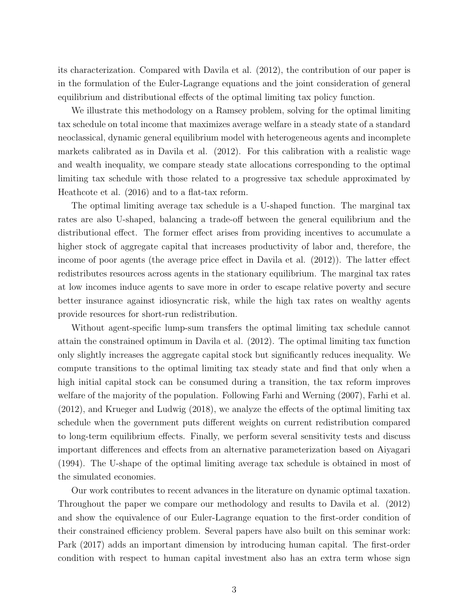its characterization. Compared with Davila et al. (2012), the contribution of our paper is in the formulation of the Euler-Lagrange equations and the joint consideration of general equilibrium and distributional effects of the optimal limiting tax policy function.

We illustrate this methodology on a Ramsey problem, solving for the optimal limiting tax schedule on total income that maximizes average welfare in a steady state of a standard neoclassical, dynamic general equilibrium model with heterogeneous agents and incomplete markets calibrated as in Davila et al. (2012). For this calibration with a realistic wage and wealth inequality, we compare steady state allocations corresponding to the optimal limiting tax schedule with those related to a progressive tax schedule approximated by Heathcote et al. (2016) and to a flat-tax reform.

The optimal limiting average tax schedule is a U-shaped function. The marginal tax rates are also U-shaped, balancing a trade-off between the general equilibrium and the distributional effect. The former effect arises from providing incentives to accumulate a higher stock of aggregate capital that increases productivity of labor and, therefore, the income of poor agents (the average price effect in Davila et al. (2012)). The latter effect redistributes resources across agents in the stationary equilibrium. The marginal tax rates at low incomes induce agents to save more in order to escape relative poverty and secure better insurance against idiosyncratic risk, while the high tax rates on wealthy agents provide resources for short-run redistribution.

Without agent-specific lump-sum transfers the optimal limiting tax schedule cannot attain the constrained optimum in Davila et al. (2012). The optimal limiting tax function only slightly increases the aggregate capital stock but significantly reduces inequality. We compute transitions to the optimal limiting tax steady state and find that only when a high initial capital stock can be consumed during a transition, the tax reform improves welfare of the majority of the population. Following Farhi and Werning (2007), Farhi et al. (2012), and Krueger and Ludwig (2018), we analyze the effects of the optimal limiting tax schedule when the government puts different weights on current redistribution compared to long-term equilibrium effects. Finally, we perform several sensitivity tests and discuss important differences and effects from an alternative parameterization based on Aiyagari (1994). The U-shape of the optimal limiting average tax schedule is obtained in most of the simulated economies.

Our work contributes to recent advances in the literature on dynamic optimal taxation. Throughout the paper we compare our methodology and results to Davila et al. (2012) and show the equivalence of our Euler-Lagrange equation to the first-order condition of their constrained efficiency problem. Several papers have also built on this seminar work: Park (2017) adds an important dimension by introducing human capital. The first-order condition with respect to human capital investment also has an extra term whose sign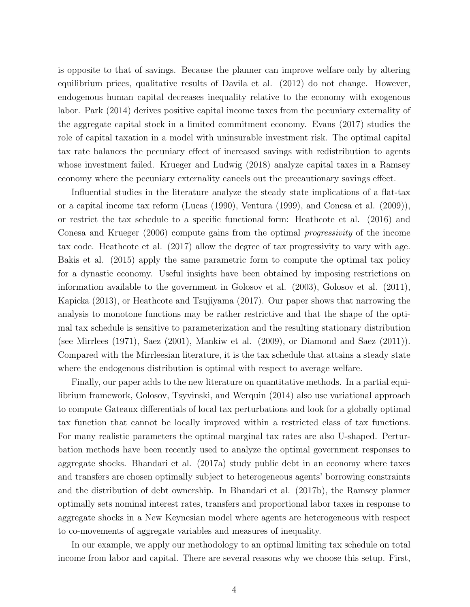is opposite to that of savings. Because the planner can improve welfare only by altering equilibrium prices, qualitative results of Davila et al. (2012) do not change. However, endogenous human capital decreases inequality relative to the economy with exogenous labor. Park (2014) derives positive capital income taxes from the pecuniary externality of the aggregate capital stock in a limited commitment economy. Evans (2017) studies the role of capital taxation in a model with uninsurable investment risk. The optimal capital tax rate balances the pecuniary effect of increased savings with redistribution to agents whose investment failed. Krueger and Ludwig (2018) analyze capital taxes in a Ramsey economy where the pecuniary externality cancels out the precautionary savings effect.

Influential studies in the literature analyze the steady state implications of a flat-tax or a capital income tax reform (Lucas (1990), Ventura (1999), and Conesa et al. (2009)), or restrict the tax schedule to a specific functional form: Heathcote et al. (2016) and Conesa and Krueger (2006) compute gains from the optimal progressivity of the income tax code. Heathcote et al. (2017) allow the degree of tax progressivity to vary with age. Bakis et al. (2015) apply the same parametric form to compute the optimal tax policy for a dynastic economy. Useful insights have been obtained by imposing restrictions on information available to the government in Golosov et al. (2003), Golosov et al. (2011), Kapicka (2013), or Heathcote and Tsujiyama (2017). Our paper shows that narrowing the analysis to monotone functions may be rather restrictive and that the shape of the optimal tax schedule is sensitive to parameterization and the resulting stationary distribution (see Mirrlees (1971), Saez (2001), Mankiw et al. (2009), or Diamond and Saez (2011)). Compared with the Mirrleesian literature, it is the tax schedule that attains a steady state where the endogenous distribution is optimal with respect to average welfare.

Finally, our paper adds to the new literature on quantitative methods. In a partial equilibrium framework, Golosov, Tsyvinski, and Werquin (2014) also use variational approach to compute Gateaux differentials of local tax perturbations and look for a globally optimal tax function that cannot be locally improved within a restricted class of tax functions. For many realistic parameters the optimal marginal tax rates are also U-shaped. Perturbation methods have been recently used to analyze the optimal government responses to aggregate shocks. Bhandari et al. (2017a) study public debt in an economy where taxes and transfers are chosen optimally subject to heterogeneous agents' borrowing constraints and the distribution of debt ownership. In Bhandari et al. (2017b), the Ramsey planner optimally sets nominal interest rates, transfers and proportional labor taxes in response to aggregate shocks in a New Keynesian model where agents are heterogeneous with respect to co-movements of aggregate variables and measures of inequality.

In our example, we apply our methodology to an optimal limiting tax schedule on total income from labor and capital. There are several reasons why we choose this setup. First,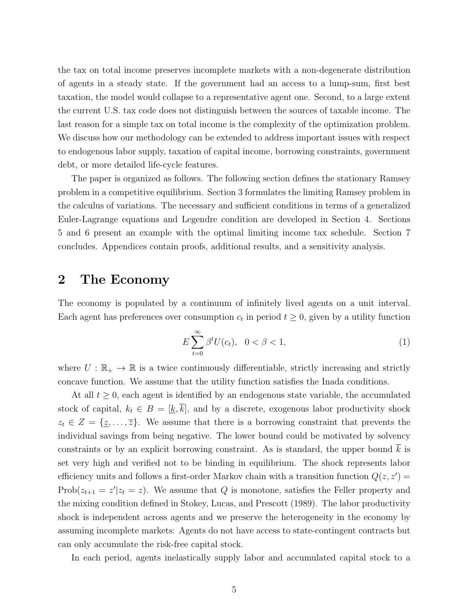the tax on total income preserves incomplete markets with a non-degenerate distribution of agents in a steady state. If the government had an access to a lump-sum, first best taxation, the model would collapse to a representative agent one. Second, to a large extent the current U.S. tax code does not distinguish between the sources of taxable income. The last reason for a simple tax on total income is the complexity of the optimization problem. We discuss how our methodology can be extended to address important issues with respect to endogenous labor supply, taxation of capital income, borrowing constraints, government debt, or more detailed life-cycle features.

The paper is organized as follows. The following section defines the stationary Ramsey problem in a competitive equilibrium. Section 3 formulates the limiting Ramsey problem in the calculus of variations. The necessary and sufficient conditions in terms of a generalized Euler-Lagrange equations and Legendre condition are developed in Section 4. Sections 5 and 6 present an example with the optimal limiting income tax schedule. Section 7 concludes. Appendices contain proofs, additional results, and a sensitivity analysis.

## 2 The Economy

The economy is populated by a continuum of infinitely lived agents on a unit interval. Each agent has preferences over consumption  $c_t$  in period  $t \geq 0$ , given by a utility function

$$
E\sum_{t=0}^{\infty} \beta^t U(c_t), \quad 0 < \beta < 1,\tag{1}
$$

where  $U : \mathbb{R}_+ \to \mathbb{R}$  is a twice continuously differentiable, strictly increasing and strictly concave function. We assume that the utility function satisfies the Inada conditions.

At all  $t \geq 0$ , each agent is identified by an endogenous state variable, the accumulated stock of capital,  $k_t \in B = [k, \overline{k}]$ , and by a discrete, exogenous labor productivity shock  $z_t \in Z = \{z, \ldots, \overline{z}\}.$  We assume that there is a borrowing constraint that prevents the individual savings from being negative. The lower bound could be motivated by solvency constraints or by an explicit borrowing constraint. As is standard, the upper bound  $k$  is set very high and verified not to be binding in equilibrium. The shock represents labor efficiency units and follows a first-order Markov chain with a transition function  $Q(z, z') =$  $Prob(z_{t+1} = z'|z_t = z)$ . We assume that Q is monotone, satisfies the Feller property and the mixing condition defined in Stokey, Lucas, and Prescott (1989). The labor productivity shock is independent across agents and we preserve the heterogeneity in the economy by assuming incomplete markets: Agents do not have access to state-contingent contracts but can only accumulate the risk-free capital stock.

In each period, agents inelastically supply labor and accumulated capital stock to a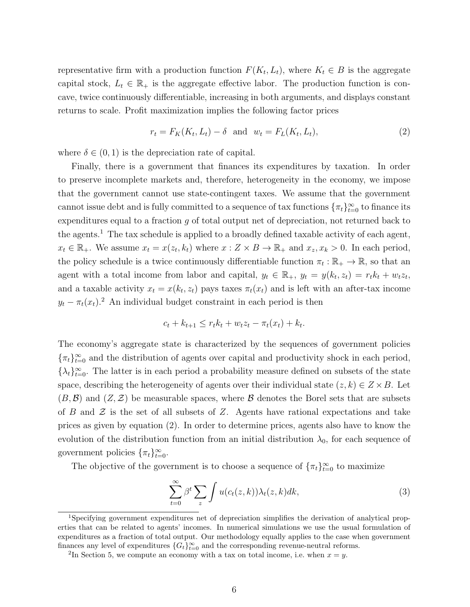representative firm with a production function  $F(K_t, L_t)$ , where  $K_t \in B$  is the aggregate capital stock,  $L_t \in \mathbb{R}_+$  is the aggregate effective labor. The production function is concave, twice continuously differentiable, increasing in both arguments, and displays constant returns to scale. Profit maximization implies the following factor prices

$$
r_t = F_K(K_t, L_t) - \delta \quad \text{and} \quad w_t = F_L(K_t, L_t), \tag{2}
$$

where  $\delta \in (0,1)$  is the depreciation rate of capital.

Finally, there is a government that finances its expenditures by taxation. In order to preserve incomplete markets and, therefore, heterogeneity in the economy, we impose that the government cannot use state-contingent taxes. We assume that the government cannot issue debt and is fully committed to a sequence of  $\tan x$  functions  $\{\pi_t\}_{t=0}^{\infty}$  to finance its expenditures equal to a fraction  $g$  of total output net of depreciation, not returned back to the agents.<sup>1</sup> The tax schedule is applied to a broadly defined taxable activity of each agent,  $x_t \in \mathbb{R}_+$ . We assume  $x_t = x(z_t, k_t)$  where  $x : Z \times B \to \mathbb{R}_+$  and  $x_z, x_k > 0$ . In each period, the policy schedule is a twice continuously differentiable function  $\pi_t : \mathbb{R}_+ \to \mathbb{R}$ , so that an agent with a total income from labor and capital,  $y_t \in \mathbb{R}_+$ ,  $y_t = y(k_t, z_t) = r_t k_t + w_t z_t$ , and a taxable activity  $x_t = x(k_t, z_t)$  pays taxes  $\pi_t(x_t)$  and is left with an after-tax income  $y_t - \pi_t(x_t)$ <sup>2</sup> An individual budget constraint in each period is then

$$
c_t + k_{t+1} \le r_t k_t + w_t z_t - \pi_t(x_t) + k_t.
$$

The economy's aggregate state is characterized by the sequences of government policies  $\{\pi_t\}_{t=0}^{\infty}$  and the distribution of agents over capital and productivity shock in each period,  $\{\lambda_t\}_{t=0}^{\infty}$ . The latter is in each period a probability measure defined on subsets of the state space, describing the heterogeneity of agents over their individual state  $(z, k) \in Z \times B$ . Let  $(B,\mathcal{B})$  and  $(Z,\mathcal{Z})$  be measurable spaces, where  $\mathcal B$  denotes the Borel sets that are subsets of B and  $\mathcal Z$  is the set of all subsets of Z. Agents have rational expectations and take prices as given by equation (2). In order to determine prices, agents also have to know the evolution of the distribution function from an initial distribution  $\lambda_0$ , for each sequence of government policies  $\{\pi_t\}_{t=0}^{\infty}$ .

The objective of the government is to choose a sequence of  $\{\pi_t\}_{t=0}^{\infty}$  to maximize

$$
\sum_{t=0}^{\infty} \beta^t \sum_{z} \int u(c_t(z,k)) \lambda_t(z,k) dk,
$$
\n(3)

<sup>1</sup>Specifying government expenditures net of depreciation simplifies the derivation of analytical properties that can be related to agents' incomes. In numerical simulations we use the usual formulation of expenditures as a fraction of total output. Our methodology equally applies to the case when government finances any level of expenditures  ${G_t}_{t=0}^{\infty}$  and the corresponding revenue-neutral reforms.

<sup>&</sup>lt;sup>2</sup>In Section 5, we compute an economy with a tax on total income, i.e. when  $x = y$ .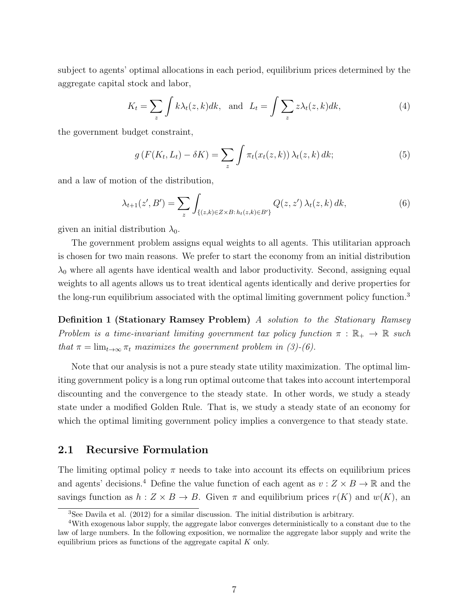subject to agents' optimal allocations in each period, equilibrium prices determined by the aggregate capital stock and labor,

$$
K_t = \sum_{z} \int k \lambda_t(z, k) dk, \text{ and } L_t = \int \sum_{z} z \lambda_t(z, k) dk,
$$
 (4)

the government budget constraint,

$$
g\left(F(K_t, L_t) - \delta K\right) = \sum_{z} \int \pi_t(x_t(z, k)) \,\lambda_t(z, k) \, dk; \tag{5}
$$

and a law of motion of the distribution,

$$
\lambda_{t+1}(z',B') = \sum_{z} \int_{\{(z,k)\in Z\times B:\,h_t(z,k)\in B'\}} Q(z,z')\,\lambda_t(z,k)\,dk,\tag{6}
$$

given an initial distribution  $\lambda_0$ .

The government problem assigns equal weights to all agents. This utilitarian approach is chosen for two main reasons. We prefer to start the economy from an initial distribution  $\lambda_0$  where all agents have identical wealth and labor productivity. Second, assigning equal weights to all agents allows us to treat identical agents identically and derive properties for the long-run equilibrium associated with the optimal limiting government policy function.<sup>3</sup>

Definition 1 (Stationary Ramsey Problem) A solution to the Stationary Ramsey Problem is a time-invariant limiting government tax policy function  $\pi : \mathbb{R}_+ \to \mathbb{R}$  such that  $\pi = \lim_{t \to \infty} \pi_t$  maximizes the government problem in (3)-(6).

Note that our analysis is not a pure steady state utility maximization. The optimal limiting government policy is a long run optimal outcome that takes into account intertemporal discounting and the convergence to the steady state. In other words, we study a steady state under a modified Golden Rule. That is, we study a steady state of an economy for which the optimal limiting government policy implies a convergence to that steady state.

### 2.1 Recursive Formulation

The limiting optimal policy  $\pi$  needs to take into account its effects on equilibrium prices and agents' decisions.<sup>4</sup> Define the value function of each agent as  $v : Z \times B \to \mathbb{R}$  and the savings function as  $h: Z \times B \to B$ . Given  $\pi$  and equilibrium prices  $r(K)$  and  $w(K)$ , and

<sup>3</sup>See Davila et al. (2012) for a similar discussion. The initial distribution is arbitrary.

<sup>4</sup>With exogenous labor supply, the aggregate labor converges deterministically to a constant due to the law of large numbers. In the following exposition, we normalize the aggregate labor supply and write the equilibrium prices as functions of the aggregate capital  $K$  only.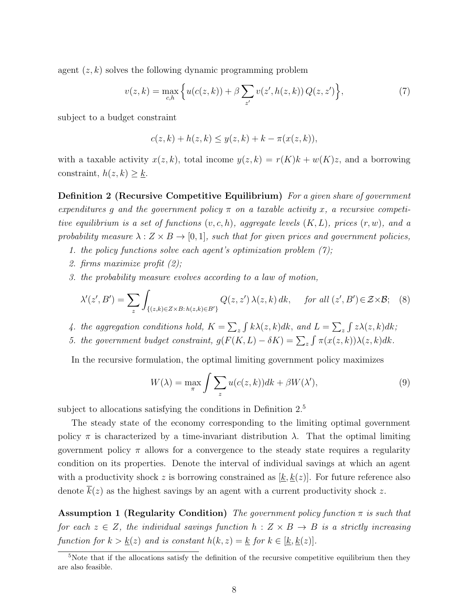agent  $(z, k)$  solves the following dynamic programming problem

$$
v(z,k) = \max_{c,h} \left\{ u(c(z,k)) + \beta \sum_{z'} v(z',h(z,k)) Q(z,z') \right\},\tag{7}
$$

subject to a budget constraint

$$
c(z,k) + h(z,k) \le y(z,k) + k - \pi(x(z,k)),
$$

with a taxable activity  $x(z, k)$ , total income  $y(z, k) = r(K)k + w(K)z$ , and a borrowing constraint,  $h(z, k) \geq \underline{k}$ .

**Definition 2 (Recursive Competitive Equilibrium)** For a given share of government expenditures q and the government policy  $\pi$  on a taxable activity x, a recursive competitive equilibrium is a set of functions  $(v, c, h)$ , aggregate levels  $(K, L)$ , prices  $(r, w)$ , and a probability measure  $\lambda : Z \times B \to [0, 1]$ , such that for given prices and government policies,

- 1. the policy functions solve each agent's optimization problem  $(7)$ ;
- 2. firms maximize profit (2);
- 3. the probability measure evolves according to a law of motion,

$$
\lambda'(z',B') = \sum_{z} \int_{\{(z,k)\in Z\times B:\,h(z,k)\in B'\}} Q(z,z')\,\lambda(z,k)\,dk, \quad \text{for all } (z',B')\in Z\times\mathcal{B};\tag{8}
$$

- 4. the aggregation conditions hold,  $K = \sum_{z} \int k\lambda(z, k)dk$ , and  $L = \sum_{z} \int z\lambda(z, k)dk$ ;
- 5. the government budget constraint,  $g(F(K, L) \delta K) = \sum_{z} \int \pi(x(z, k)) \lambda(z, k) dk$ .

In the recursive formulation, the optimal limiting government policy maximizes

$$
W(\lambda) = \max_{\pi} \int \sum_{z} u(c(z, k))dk + \beta W(\lambda'), \tag{9}
$$

subject to allocations satisfying the conditions in Definition  $2<sup>5</sup>$ 

The steady state of the economy corresponding to the limiting optimal government policy  $\pi$  is characterized by a time-invariant distribution  $\lambda$ . That the optimal limiting government policy  $\pi$  allows for a convergence to the steady state requires a regularity condition on its properties. Denote the interval of individual savings at which an agent with a productivity shock z is borrowing constrained as  $[k, k(z)]$ . For future reference also denote  $k(z)$  as the highest savings by an agent with a current productivity shock z.

**Assumption 1 (Regularity Condition)** The government policy function  $\pi$  is such that for each  $z \in Z$ , the individual savings function  $h: Z \times B \to B$  is a strictly increasing function for  $k > k(z)$  and is constant  $h(k, z) = k$  for  $k \in [k, k(z)]$ .

<sup>&</sup>lt;sup>5</sup>Note that if the allocations satisfy the definition of the recursive competitive equilibrium then they are also feasible.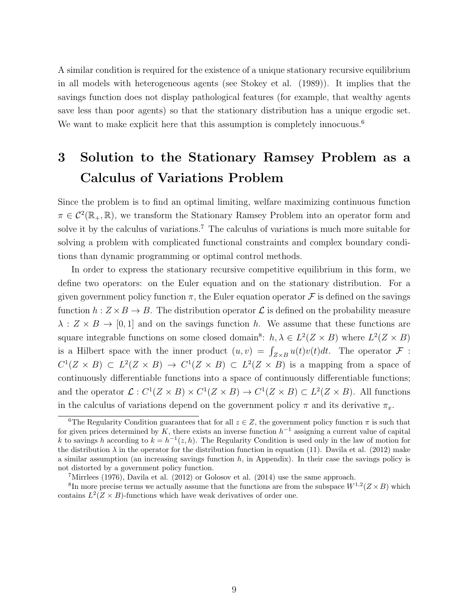A similar condition is required for the existence of a unique stationary recursive equilibrium in all models with heterogeneous agents (see Stokey et al. (1989)). It implies that the savings function does not display pathological features (for example, that wealthy agents save less than poor agents) so that the stationary distribution has a unique ergodic set. We want to make explicit here that this assumption is completely innocuous.<sup>6</sup>

## 3 Solution to the Stationary Ramsey Problem as a Calculus of Variations Problem

Since the problem is to find an optimal limiting, welfare maximizing continuous function  $\pi \in C^2(\mathbb{R}_+, \mathbb{R})$ , we transform the Stationary Ramsey Problem into an operator form and solve it by the calculus of variations.<sup>7</sup> The calculus of variations is much more suitable for solving a problem with complicated functional constraints and complex boundary conditions than dynamic programming or optimal control methods.

In order to express the stationary recursive competitive equilibrium in this form, we define two operators: on the Euler equation and on the stationary distribution. For a given government policy function  $\pi$ , the Euler equation operator  $\mathcal F$  is defined on the savings function  $h: Z \times B \to B$ . The distribution operator  $\mathcal L$  is defined on the probability measure  $\lambda: Z \times B \to [0,1]$  and on the savings function h. We assume that these functions are square integrable functions on some closed domain<sup>8</sup>:  $h, \lambda \in L^2(Z \times B)$  where  $L^2(Z \times B)$ is a Hilbert space with the inner product  $(u, v) = \int_{Z \times B} u(t)v(t)dt$ . The operator  $\mathcal F$ :  $C^1(Z \times B) \subset L^2(Z \times B) \to C^1(Z \times B) \subset L^2(Z \times B)$  is a mapping from a space of continuously differentiable functions into a space of continuously differentiable functions; and the operator  $\mathcal{L}: C^1(Z \times B) \times C^1(Z \times B) \to C^1(Z \times B) \subset L^2(Z \times B)$ . All functions in the calculus of variations depend on the government policy  $\pi$  and its derivative  $\pi_x$ .

<sup>&</sup>lt;sup>6</sup>The Regularity Condition guarantees that for all  $z \in Z$ , the government policy function  $\pi$  is such that for given prices determined by K, there exists an inverse function  $h^{-1}$  assigning a current value of capital k to savings h according to  $k = h^{-1}(z, h)$ . The Regularity Condition is used only in the law of motion for the distribution  $\lambda$  in the operator for the distribution function in equation (11). Davila et al. (2012) make a similar assumption (an increasing savings function  $h$ , in Appendix). In their case the savings policy is not distorted by a government policy function.

<sup>7</sup>Mirrlees (1976), Davila et al. (2012) or Golosov et al. (2014) use the same approach.

<sup>&</sup>lt;sup>8</sup>In more precise terms we actually assume that the functions are from the subspace  $W^{1,2}(Z \times B)$  which contains  $L^2(Z \times B)$ -functions which have weak derivatives of order one.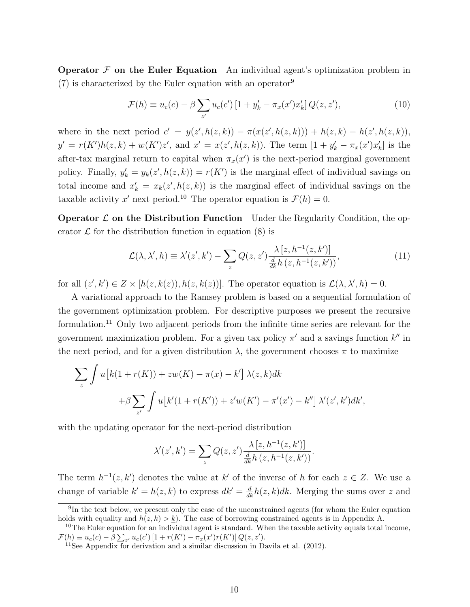**Operator**  $F$  **on the Euler Equation** An individual agent's optimization problem in  $(7)$  is characterized by the Euler equation with an operator<sup>9</sup>

$$
\mathcal{F}(h) \equiv u_c(c) - \beta \sum_{z'} u_c(c') \left[ 1 + y'_k - \pi_x(x') x'_k \right] Q(z, z'), \tag{10}
$$

where in the next period  $c' = y(z', h(z, k)) - \pi(x(z', h(z, k))) + h(z, k) - h(z', h(z, k)),$  $y' = r(K')h(z, k) + w(K')z'$ , and  $x' = x(z', h(z, k))$ . The term  $[1 + y'_k - \pi_x(x')x'_k]$  is the after-tax marginal return to capital when  $\pi_x(x')$  is the next-period marginal government policy. Finally,  $y'_k = y_k(z', h(z, k)) = r(K')$  is the marginal effect of individual savings on total income and  $x'_k = x_k(z', h(z, k))$  is the marginal effect of individual savings on the taxable activity x' next period.<sup>10</sup> The operator equation is  $\mathcal{F}(h) = 0$ .

**Operator**  $\mathcal{L}$  **on the Distribution Function** Under the Regularity Condition, the operator  $\mathcal L$  for the distribution function in equation (8) is

$$
\mathcal{L}(\lambda, \lambda', h) \equiv \lambda'(z', k') - \sum_{z} Q(z, z') \frac{\lambda [z, h^{-1}(z, k')] }{\frac{d}{dk} h(z, h^{-1}(z, k'))},\tag{11}
$$

for all  $(z', k') \in Z \times [h(z, \underline{k}(z)), h(z, k(z))]$ . The operator equation is  $\mathcal{L}(\lambda, \lambda', h) = 0$ .

A variational approach to the Ramsey problem is based on a sequential formulation of the government optimization problem. For descriptive purposes we present the recursive formulation.<sup>11</sup> Only two adjacent periods from the infinite time series are relevant for the government maximization problem. For a given tax policy  $\pi'$  and a savings function  $k''$  in the next period, and for a given distribution  $\lambda$ , the government chooses  $\pi$  to maximize

$$
\sum_{z} \int u \left[ k(1+r(K)) + zw(K) - \pi(x) - k' \right] \lambda(z, k) dk
$$
  
+  $\beta \sum_{z'} \int u \left[ k'(1+r(K')) + z'w(K') - \pi'(x') - k'' \right] \lambda'(z', k') dk',$ 

with the updating operator for the next-period distribution

$$
\lambda'(z', k') = \sum_{z} Q(z, z') \frac{\lambda [z, h^{-1}(z, k')] }{\frac{d}{dk} h (z, h^{-1}(z, k'))}.
$$

The term  $h^{-1}(z, k')$  denotes the value at k' of the inverse of h for each  $z \in Z$ . We use a change of variable  $k' = h(z, k)$  to express  $dk' = \frac{d}{dk}h(z, k)dk$ . Merging the sums over z and

<sup>&</sup>lt;sup>9</sup>In the text below, we present only the case of the unconstrained agents (for whom the Euler equation holds with equality and  $h(z, k) > k$ ). The case of borrowing constrained agents is in Appendix A.

<sup>10</sup>The Euler equation for an individual agent is standard. When the taxable activity equals total income,  $\mathcal{F}(h) \equiv u_c(c) - \beta \sum_{z'} u_c(c') [1 + r(K') - \pi_x(x')r(K')] Q(z, z').$ 

<sup>&</sup>lt;sup>11</sup>See Appendix for derivation and a similar discussion in Davila et al.  $(2012)$ .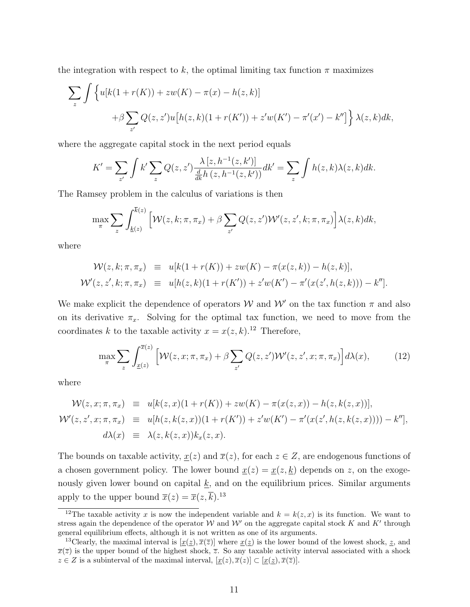the integration with respect to k, the optimal limiting tax function  $\pi$  maximizes

$$
\sum_{z} \int \left\{ u[k(1+r(K)) + zw(K) - \pi(x) - h(z,k)] + \beta \sum_{z'} Q(z,z')u[h(z,k)(1+r(K')) + z'w(K') - \pi'(x') - k''] \right\} \lambda(z,k)dk,
$$

where the aggregate capital stock in the next period equals

$$
K' = \sum_{z'} \int k' \sum_z Q(z, z') \frac{\lambda [z, h^{-1}(z, k')] }{\frac{d}{dk} h(z, h^{-1}(z, k'))} dk' = \sum_z \int h(z, k) \lambda(z, k) dk.
$$

The Ramsey problem in the calculus of variations is then

$$
\max_{\pi} \sum_{z} \int_{\underline{k}(z)}^{\overline{k}(z)} \left[ \mathcal{W}(z, k; \pi, \pi_x) + \beta \sum_{z'} Q(z, z') \mathcal{W}'(z, z', k; \pi, \pi_x) \right] \lambda(z, k) dk,
$$

where

$$
\mathcal{W}(z,k;\pi,\pi_x) \equiv u[k(1+r(K)) + zw(K) - \pi(x(z,k)) - h(z,k)],
$$
  

$$
\mathcal{W}'(z,z',k;\pi,\pi_x) \equiv u[h(z,k)(1+r(K')) + z'w(K') - \pi'(x(z',h(z,k))) - k''].
$$

We make explicit the dependence of operators W and W' on the tax function  $\pi$  and also on its derivative  $\pi_x$ . Solving for the optimal tax function, we need to move from the coordinates k to the taxable activity  $x = x(z, k)$ .<sup>12</sup> Therefore,

$$
\max_{\pi} \sum_{z} \int_{\underline{x}(z)}^{\overline{x}(z)} \left[ \mathcal{W}(z, x; \pi, \pi_x) + \beta \sum_{z'} Q(z, z') \mathcal{W}'(z, z', x; \pi, \pi_x) \right] d\lambda(x), \tag{12}
$$

where

$$
\mathcal{W}(z, x; \pi, \pi_x) \equiv u[k(z, x)(1 + r(K)) + zw(K) - \pi(x(z, x)) - h(z, k(z, x))],
$$
  
\n
$$
\mathcal{W}'(z, z', x; \pi, \pi_x) \equiv u[h(z, k(z, x))(1 + r(K')) + z'w(K') - \pi'(x(z', h(z, k(z, x)))) - k''],
$$
  
\n
$$
d\lambda(x) \equiv \lambda(z, k(z, x))k_x(z, x).
$$

The bounds on taxable activity,  $\underline{x}(z)$  and  $\overline{x}(z)$ , for each  $z \in Z$ , are endogenous functions of a chosen government policy. The lower bound  $\underline{x}(z) = \underline{x}(z, \underline{k})$  depends on z, on the exogenously given lower bound on capital  $\underline{k}$ , and on the equilibrium prices. Similar arguments apply to the upper bound  $\overline{x}(z) = \overline{x}(z, \overline{k}).^{13}$ 

<sup>&</sup>lt;sup>12</sup>The taxable activity x is now the independent variable and  $k = k(z, x)$  is its function. We want to stress again the dependence of the operator W and W' on the aggregate capital stock K and K' through general equilibrium effects, although it is not written as one of its arguments.

<sup>&</sup>lt;sup>13</sup>Clearly, the maximal interval is  $[x(\underline{z}), \overline{x}(\overline{z})]$  where  $x(\underline{z})$  is the lower bound of the lowest shock,  $\underline{z}$ , and  $\overline{x}(\overline{z})$  is the upper bound of the highest shock,  $\overline{z}$ . So any taxable activity interval associated with a shock  $z \in Z$  is a subinterval of the maximal interval,  $[\underline{x}(z), \overline{x}(z)] \subset [\underline{x}(z), \overline{x}(\overline{z})]$ .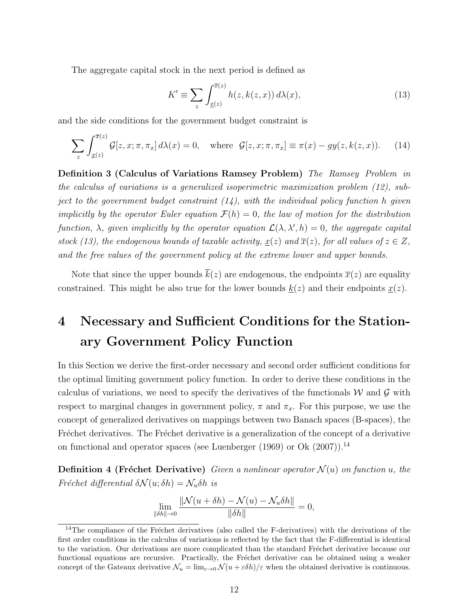The aggregate capital stock in the next period is defined as

$$
K' \equiv \sum_{z} \int_{\underline{x}(z)}^{\overline{x}(z)} h(z, k(z, x)) d\lambda(x), \tag{13}
$$

and the side conditions for the government budget constraint is

$$
\sum_{z} \int_{\underline{x}(z)}^{\overline{x}(z)} \mathcal{G}[z, x; \pi, \pi_x] d\lambda(x) = 0, \quad \text{where } \mathcal{G}[z, x; \pi, \pi_x] \equiv \pi(x) - gy(z, k(z, x)). \tag{14}
$$

Definition 3 (Calculus of Variations Ramsey Problem) The Ramsey Problem in the calculus of variations is a generalized isoperimetric maximization problem (12), subject to the government budget constraint  $(14)$ , with the individual policy function h given implicitly by the operator Euler equation  $\mathcal{F}(h) = 0$ , the law of motion for the distribution function,  $\lambda$ , given implicitly by the operator equation  $\mathcal{L}(\lambda, \lambda', h) = 0$ , the aggregate capital stock (13), the endogenous bounds of taxable activity,  $\underline{x}(z)$  and  $\overline{x}(z)$ , for all values of  $z \in Z$ , and the free values of the government policy at the extreme lower and upper bounds.

Note that since the upper bounds  $\bar{k}(z)$  are endogenous, the endpoints  $\bar{x}(z)$  are equality constrained. This might be also true for the lower bounds  $k(z)$  and their endpoints  $x(z)$ .

## 4 Necessary and Sufficient Conditions for the Stationary Government Policy Function

In this Section we derive the first-order necessary and second order sufficient conditions for the optimal limiting government policy function. In order to derive these conditions in the calculus of variations, we need to specify the derivatives of the functionals  $W$  and  $\mathcal G$  with respect to marginal changes in government policy,  $\pi$  and  $\pi_x$ . For this purpose, we use the concept of generalized derivatives on mappings between two Banach spaces (B-spaces), the Fréchet derivatives. The Fréchet derivative is a generalization of the concept of a derivative on functional and operator spaces (see Luenberger  $(1969)$  or Ok  $(2007)$ ).<sup>14</sup>

**Definition 4 (Fréchet Derivative)** Given a nonlinear operator  $\mathcal{N}(u)$  on function u, the Fréchet differential  $\delta \mathcal{N}(u; \delta h) = \mathcal{N}_u \delta h$  is

$$
\lim_{\|\delta h\| \to 0} \frac{\|\mathcal{N}(u+\delta h) - \mathcal{N}(u) - \mathcal{N}_u \delta h\|}{\|\delta h\|} = 0,
$$

 $14$ The compliance of the Fréchet derivatives (also called the F-derivatives) with the derivations of the first order conditions in the calculus of variations is reflected by the fact that the F-differential is identical to the variation. Our derivations are more complicated than the standard Fréchet derivative because our functional equations are recursive. Practically, the Fréchet derivative can be obtained using a weaker concept of the Gateaux derivative  $\mathcal{N}_u = \lim_{\varepsilon \to 0} \mathcal{N}(u + \varepsilon \delta h)/\varepsilon$  when the obtained derivative is continuous.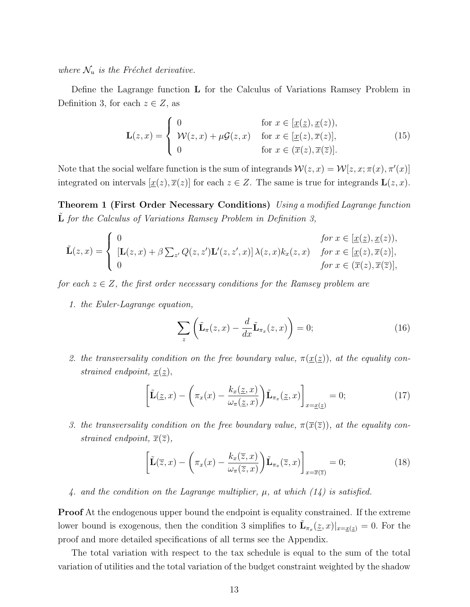where  $\mathcal{N}_u$  is the Fréchet derivative.

Define the Lagrange function L for the Calculus of Variations Ramsey Problem in Definition 3, for each  $z \in Z$ , as

$$
\mathbf{L}(z,x) = \begin{cases} 0 & \text{for } x \in [\underline{x}(\underline{z}), \underline{x}(z)), \\ \mathcal{W}(z,x) + \mu \mathcal{G}(z,x) & \text{for } x \in [\underline{x}(z), \overline{x}(z)], \\ 0 & \text{for } x \in (\overline{x}(z), \overline{x}(\overline{z})]. \end{cases}
$$
(15)

Note that the social welfare function is the sum of integrands  $\mathcal{W}(z, x) = \mathcal{W}[z, x; \pi(x), \pi'(x)]$ integrated on intervals  $[\underline{x}(z), \overline{x}(z)]$  for each  $z \in Z$ . The same is true for integrands  $\mathbf{L}(z, x)$ .

Theorem 1 (First Order Necessary Conditions) Using a modified Lagrange function  $L$  for the Calculus of Variations Ramsey Problem in Definition 3,

$$
\tilde{\mathbf{L}}(z,x) = \begin{cases}\n0 & \text{for } x \in [\underline{x}(\underline{z}), \underline{x}(z)), \\
[\mathbf{L}(z,x) + \beta \sum_{z'} Q(z,z') \mathbf{L}'(z,z',x)] \lambda(z,x) k_x(z,x) & \text{for } x \in [\underline{x}(z), \overline{x}(z)], \\
0 & \text{for } x \in (\overline{x}(z), \overline{x}(\overline{z})],\n\end{cases}
$$

for each  $z \in Z$ , the first order necessary conditions for the Ramsey problem are

1. the Euler-Lagrange equation,

$$
\sum_{z} \left( \tilde{\mathbf{L}}_{\pi}(z, x) - \frac{d}{dx} \tilde{\mathbf{L}}_{\pi_x}(z, x) \right) = 0; \tag{16}
$$

2. the transversality condition on the free boundary value,  $\pi(\underline{x}(\underline{z}))$ , at the equality constrained endpoint,  $x(z)$ ,

$$
\left[\tilde{\mathbf{L}}(\underline{z},x) - \left(\pi_x(x) - \frac{k_x(\underline{z},x)}{\omega_\pi(\underline{z},x)}\right)\tilde{\mathbf{L}}_{\pi_x}(\underline{z},x)\right]_{x=\underline{x}(\underline{z})} = 0;\tag{17}
$$

3. the transversality condition on the free boundary value,  $\pi(\bar{x}(\bar{z}))$ , at the equality constrained endpoint,  $\overline{x}(\overline{z})$ ,

$$
\left[\tilde{\mathbf{L}}(\overline{z},x) - \left(\pi_x(x) - \frac{k_x(\overline{z},x)}{\omega_\pi(\overline{z},x)}\right)\tilde{\mathbf{L}}_{\pi_x}(\overline{z},x)\right]_{x=\overline{x}(\overline{z})} = 0; \tag{18}
$$

4. and the condition on the Lagrange multiplier,  $\mu$ , at which  $(14)$  is satisfied.

Proof At the endogenous upper bound the endpoint is equality constrained. If the extreme lower bound is exogenous, then the condition 3 simplifies to  $\tilde{\mathbf{L}}_{\pi_x}(\underline{z},x)|_{x=\underline{x}(\underline{z})}=0$ . For the proof and more detailed specifications of all terms see the Appendix.

The total variation with respect to the tax schedule is equal to the sum of the total variation of utilities and the total variation of the budget constraint weighted by the shadow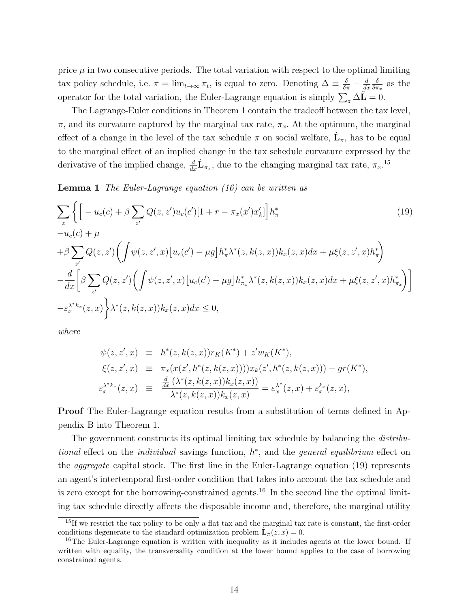price  $\mu$  in two consecutive periods. The total variation with respect to the optimal limiting tax policy schedule, i.e.  $\pi = \lim_{t \to \infty} \pi_t$ , is equal to zero. Denoting  $\Delta \equiv \frac{\delta}{\delta \pi} - \frac{d}{ds}$  $dx$ δ  $\frac{\delta}{\delta \pi_x}$  as the operator for the total variation, the Euler-Lagrange equation is simply  $\sum_z \Delta \tilde{\mathbf{L}} = 0$ .

The Lagrange-Euler conditions in Theorem 1 contain the tradeoff between the tax level,  $\pi$ , and its curvature captured by the marginal tax rate,  $\pi_x$ . At the optimum, the marginal effect of a change in the level of the tax schedule  $\pi$  on social welfare,  $\tilde{\mathbf{L}}_{\pi}$ , has to be equal to the marginal effect of an implied change in the tax schedule curvature expressed by the derivative of the implied change,  $\frac{d}{dx}\tilde{\mathbf{L}}_{\pi_x}$ , due to the changing marginal tax rate,  $\pi_x$ .<sup>15</sup>

Lemma 1 The Euler-Lagrange equation (16) can be written as

$$
\sum_{z} \left\{ \left[ -u_{c}(c) + \beta \sum_{z'} Q(z, z') u_{c}(c') [1 + r - \pi_{x}(x') x'_{k}] \right] h_{\pi}^{*} \right\}
$$
\n
$$
-u_{c}(c) + \mu
$$
\n
$$
+ \beta \sum_{z'} Q(z, z') \left( \int \psi(z, z', x) [u_{c}(c') - \mu g] h_{\pi}^{*} \lambda^{*}(z, k(z, x)) k_{x}(z, x) dx + \mu \xi(z, z', x) h_{\pi}^{*} \right)
$$
\n
$$
- \frac{d}{dx} \left[ \beta \sum_{z'} Q(z, z') \left( \int \psi(z, z', x) [u_{c}(c') - \mu g] h_{\pi_{x}}^{*} \lambda^{*}(z, k(z, x)) k_{x}(z, x) dx + \mu \xi(z, z', x) h_{\pi_{x}}^{*} \right) \right]
$$
\n
$$
- \varepsilon_{x}^{\lambda^{*} k_{x}}(z, x) \right\} \lambda^{*}(z, k(z, x)) k_{x}(z, x) dx \le 0,
$$
\n(19)

where

$$
\psi(z, z', x) \equiv h^*(z, k(z, x)) r_K(K^*) + z' w_K(K^*), \n\xi(z, z', x) \equiv \pi_x(x(z', h^*(z, k(z, x)))) x_k(z', h^*(z, k(z, x))) - gr(K^*), \n\varepsilon_x^{\lambda^* k_x}(z, x) \equiv \frac{\frac{d}{dx} (\lambda^*(z, k(z, x)) k_x(z, x))}{\lambda^*(z, k(z, x)) k_x(z, x)} = \varepsilon_x^{\lambda^*}(z, x) + \varepsilon_x^{k_x}(z, x),
$$

Proof The Euler-Lagrange equation results from a substitution of terms defined in Appendix B into Theorem 1.

The government constructs its optimal limiting tax schedule by balancing the *distribu*tional effect on the *individual* savings function,  $h^*$ , and the *general equilibrium* effect on the aggregate capital stock. The first line in the Euler-Lagrange equation (19) represents an agent's intertemporal first-order condition that takes into account the tax schedule and is zero except for the borrowing-constrained agents.<sup>16</sup> In the second line the optimal limiting tax schedule directly affects the disposable income and, therefore, the marginal utility

<sup>&</sup>lt;sup>15</sup>If we restrict the tax policy to be only a flat tax and the marginal tax rate is constant, the first-order conditions degenerate to the standard optimization problem  $\tilde{\mathbf{L}}_{\pi}(z, x) = 0$ .

 $16$ The Euler-Lagrange equation is written with inequality as it includes agents at the lower bound. If written with equality, the transversality condition at the lower bound applies to the case of borrowing constrained agents.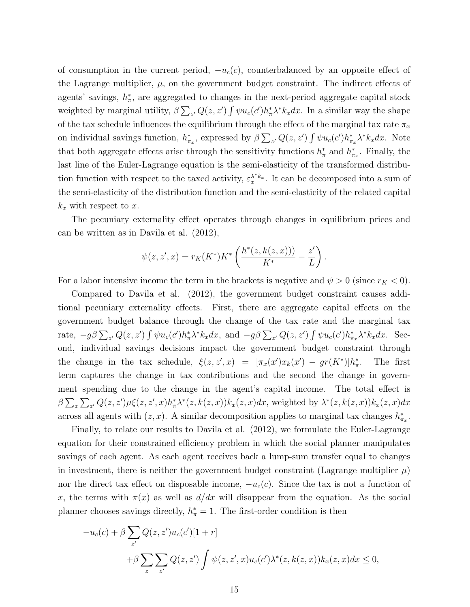of consumption in the current period,  $-u_c(c)$ , counterbalanced by an opposite effect of the Lagrange multiplier,  $\mu$ , on the government budget constraint. The indirect effects of agents' savings,  $h_{\pi}^*$ , are aggregated to changes in the next-period aggregate capital stock weighted by marginal utility,  $\beta \sum_{z'} Q(z, z') \int \psi u_c(c') h_\pi^* \lambda^* k_x dx$ . In a similar way the shape of the tax schedule influences the equilibrium through the effect of the marginal tax rate  $\pi_x$ on individual savings function,  $h_{\pi_x}^*$ , expressed by  $\beta \sum_{z'} Q(z, z') \int \psi u_c(c') h_{\pi_x}^* \lambda^* k_x dx$ . Note that both aggregate effects arise through the sensitivity functions  $h^*_{\pi}$  and  $h^*_{\pi_x}$ . Finally, the last line of the Euler-Lagrange equation is the semi-elasticity of the transformed distribution function with respect to the taxed activity,  $\varepsilon_x^{\lambda^* k_x}$ . It can be decomposed into a sum of the semi-elasticity of the distribution function and the semi-elasticity of the related capital  $k_x$  with respect to x.

The pecuniary externality effect operates through changes in equilibrium prices and can be written as in Davila et al. (2012),

$$
\psi(z, z', x) = r_K(K^*)K^* \left( \frac{h^*(z, k(z, x)))}{K^*} - \frac{z'}{L} \right).
$$

For a labor intensive income the term in the brackets is negative and  $\psi > 0$  (since  $r_K < 0$ ).

Compared to Davila et al. (2012), the government budget constraint causes additional pecuniary externality effects. First, there are aggregate capital effects on the government budget balance through the change of the tax rate and the marginal tax rate,  $-g\beta \sum_{z'} Q(z, z') \int \psi u_c(c') h^*_{\pi} \lambda^* k_x dx$ , and  $-g\beta \sum_{z'} Q(z, z') \int \psi u_c(c') h^*_{\pi_x} \lambda^* k_x dx$ . Second, individual savings decisions impact the government budget constraint through the change in the tax schedule,  $\xi(z, z', x) = [\pi_x(x')x_k(x') - gr(K^*)]h^*_\pi$ . The first term captures the change in tax contributions and the second the change in government spending due to the change in the agent's capital income. The total effect is  $\beta \sum_z \sum_{z'} Q(z, z') \mu \xi(z, z', x) h_\pi^* \lambda^* (z, k(z, x)) k_x(z, x) dx$ , weighted by  $\lambda^* (z, k(z, x)) k_x(z, x) dx$ across all agents with  $(z, x)$ . A similar decomposition applies to marginal tax changes  $h_{\pi_x}^*$ .

Finally, to relate our results to Davila et al. (2012), we formulate the Euler-Lagrange equation for their constrained efficiency problem in which the social planner manipulates savings of each agent. As each agent receives back a lump-sum transfer equal to changes in investment, there is neither the government budget constraint (Lagrange multiplier  $\mu$ ) nor the direct tax effect on disposable income,  $-u_c(c)$ . Since the tax is not a function of x, the terms with  $\pi(x)$  as well as  $d/dx$  will disappear from the equation. As the social planner chooses savings directly,  $h^*_{\pi} = 1$ . The first-order condition is then

$$
-u_c(c) + \beta \sum_{z'} Q(z, z')u_c(c')[1+r]
$$
  
+
$$
\beta \sum_{z} \sum_{z'} Q(z, z') \int \psi(z, z', x)u_c(c')\lambda^*(z, k(z, x))k_x(z, x)dx \le 0,
$$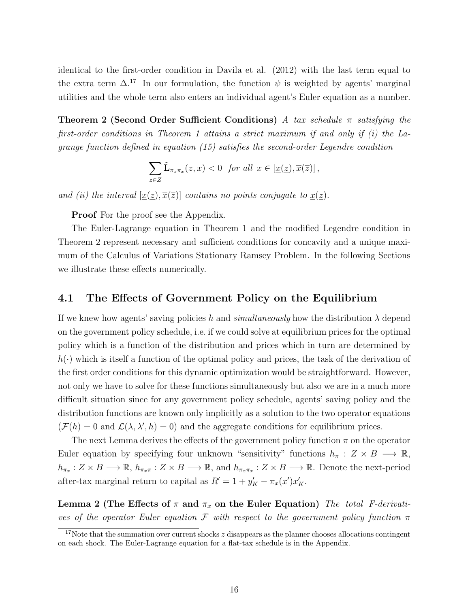identical to the first-order condition in Davila et al. (2012) with the last term equal to the extra term  $\Delta^{17}$ . In our formulation, the function  $\psi$  is weighted by agents' marginal utilities and the whole term also enters an individual agent's Euler equation as a number.

**Theorem 2 (Second Order Sufficient Conditions)** A tax schedule  $\pi$  satisfying the first-order conditions in Theorem 1 attains a strict maximum if and only if (i) the Lagrange function defined in equation (15) satisfies the second-order Legendre condition

$$
\sum_{z\in Z}\tilde{\mathbf{L}}_{\pi_x\pi_x}(z,x)<0\quad\text{for all}\ \ x\in[\underline{x}(\underline{z}),\overline{x}(\overline{z})]\,,
$$

and (ii) the interval  $[\underline{x}(\underline{z}), \overline{x}(\overline{z})]$  contains no points conjugate to  $\underline{x}(\underline{z})$ .

Proof For the proof see the Appendix.

The Euler-Lagrange equation in Theorem 1 and the modified Legendre condition in Theorem 2 represent necessary and sufficient conditions for concavity and a unique maximum of the Calculus of Variations Stationary Ramsey Problem. In the following Sections we illustrate these effects numerically.

#### 4.1 The Effects of Government Policy on the Equilibrium

If we knew how agents' saving policies h and simultaneously how the distribution  $\lambda$  depend on the government policy schedule, i.e. if we could solve at equilibrium prices for the optimal policy which is a function of the distribution and prices which in turn are determined by  $h(\cdot)$  which is itself a function of the optimal policy and prices, the task of the derivation of the first order conditions for this dynamic optimization would be straightforward. However, not only we have to solve for these functions simultaneously but also we are in a much more difficult situation since for any government policy schedule, agents' saving policy and the distribution functions are known only implicitly as a solution to the two operator equations  $(\mathcal{F}(h) = 0$  and  $\mathcal{L}(\lambda, \lambda', h) = 0)$  and the aggregate conditions for equilibrium prices.

The next Lemma derives the effects of the government policy function  $\pi$  on the operator Euler equation by specifying four unknown "sensitivity" functions  $h_{\pi}: Z \times B \longrightarrow \mathbb{R}$ ,  $h_{\pi_x}: Z \times B \longrightarrow \mathbb{R}, h_{\pi_x} : Z \times B \longrightarrow \mathbb{R}, \text{ and } h_{\pi_x \pi_x}: Z \times B \longrightarrow \mathbb{R}.$  Denote the next-period after-tax marginal return to capital as  $R' = 1 + y'_K - \pi_x(x')x'_K$ .

Lemma 2 (The Effects of  $\pi$  and  $\pi_x$  on the Euler Equation) The total F-derivatives of the operator Euler equation F with respect to the government policy function  $\pi$ 

 $17$ Note that the summation over current shocks z disappears as the planner chooses allocations contingent on each shock. The Euler-Lagrange equation for a flat-tax schedule is in the Appendix.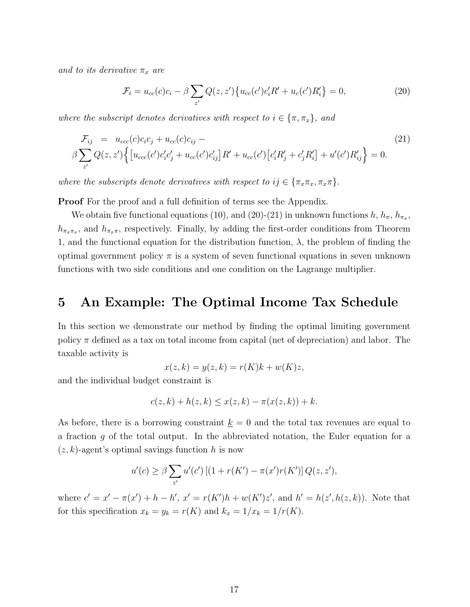and to its derivative  $\pi_x$  are

$$
\mathcal{F}_i = u_{cc}(c)c_i - \beta \sum_{z'} Q(z, z') \{ u_{cc}(c')c_i'R' + u_c(c')R_i' \} = 0,
$$
\n(20)

where the subscript denotes derivatives with respect to  $i \in \{\pi, \pi_x\}$ , and

$$
\mathcal{F}_{ij} = u_{ccc}(c)c_{i}c_{j} + u_{cc}(c)c_{ij} -
$$
\n
$$
\beta \sum_{z'} Q(z, z') \Big\{ \big[ u_{ccc}(c')c'_{i}c'_{j} + u_{cc}(c')c'_{ij} \big] R' + u_{cc}(c') \big[ c'_{i}R'_{j} + c'_{j}R'_{i} \big] + u'(c')R'_{ij} \Big\} = 0.
$$
\n(21)

where the subscripts denote derivatives with respect to  $ij \in {\pi_x \pi_x, \pi_x \pi}.$ 

**Proof** For the proof and a full definition of terms see the Appendix.

We obtain five functional equations (10), and (20)-(21) in unknown functions  $h, h_{\pi}, h_{\pi_x}$ ,  $h_{\pi_x\pi_x}$ , and  $h_{\pi_x\pi}$ , respectively. Finally, by adding the first-order conditions from Theorem 1, and the functional equation for the distribution function,  $\lambda$ , the problem of finding the optimal government policy  $\pi$  is a system of seven functional equations in seven unknown functions with two side conditions and one condition on the Lagrange multiplier.

## 5 An Example: The Optimal Income Tax Schedule

In this section we demonstrate our method by finding the optimal limiting government policy  $\pi$  defined as a tax on total income from capital (net of depreciation) and labor. The taxable activity is

$$
x(z,k) = y(z,k) = r(K)k + w(K)z,
$$

and the individual budget constraint is

$$
c(z,k) + h(z,k) \leq x(z,k) - \pi(x(z,k)) + k.
$$

As before, there is a borrowing constraint  $\underline{k} = 0$  and the total tax revenues are equal to a fraction g of the total output. In the abbreviated notation, the Euler equation for a  $(z, k)$ -agent's optimal savings function h is now

$$
u'(c) \ge \beta \sum_{z'} u'(c') [(1 + r(K') - \pi(x')r(K')] Q(z, z'),
$$

where  $c' = x' - \pi(x') + h - h'$ ,  $x' = r(K')h + w(K')z'$ , and  $h' = h(z', h(z, k))$ . Note that for this specification  $x_k = y_k = r(K)$  and  $k_x = 1/x_k = 1/r(K)$ .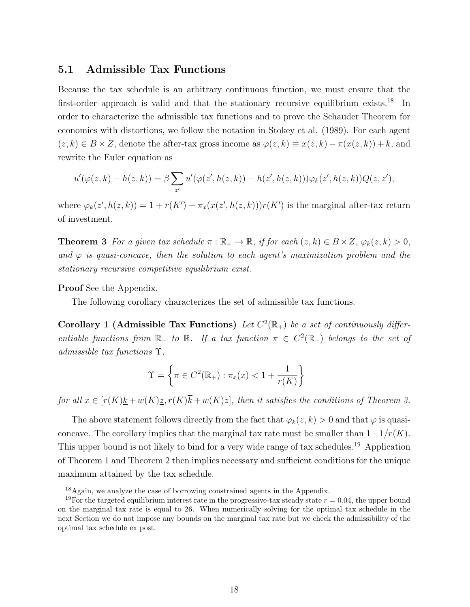#### 5.1 Admissible Tax Functions

Because the tax schedule is an arbitrary continuous function, we must ensure that the first-order approach is valid and that the stationary recursive equilibrium exists.<sup>18</sup> In order to characterize the admissible tax functions and to prove the Schauder Theorem for economies with distortions, we follow the notation in Stokey et al. (1989). For each agent  $(z, k) \in B \times Z$ , denote the after-tax gross income as  $\varphi(z, k) \equiv x(z, k) - \pi(x(z, k)) + k$ , and rewrite the Euler equation as

$$
u'(\varphi(z,k)-h(z,k))=\beta\sum_{z'}u'(\varphi(z',h(z,k))-h(z',h(z,k)))\varphi_k(z',h(z,k))Q(z,z'),
$$

where  $\varphi_k(z',h(z,k)) = 1 + r(K') - \pi_x(x(z',h(z,k)))r(K')$  is the marginal after-tax return of investment.

**Theorem 3** For a given tax schedule  $\pi : \mathbb{R}_+ \to \mathbb{R}$ , if for each  $(z, k) \in B \times Z$ ,  $\varphi_k(z, k) > 0$ , and  $\varphi$  is quasi-concave, then the solution to each agent's maximization problem and the stationary recursive competitive equilibrium exist.

#### Proof See the Appendix.

The following corollary characterizes the set of admissible tax functions.

Corollary 1 (Admissible Tax Functions) Let  $C^2(\mathbb{R}_+)$  be a set of continuously differentiable functions from  $\mathbb{R}_+$  to  $\mathbb{R}$ . If a tax function  $\pi \in C^2(\mathbb{R}_+)$  belongs to the set of admissible tax functions Υ,

$$
\Upsilon = \left\{ \pi \in C^2(\mathbb{R}_+) : \pi_x(x) < 1 + \frac{1}{r(K)} \right\}
$$

for all  $x \in [r(K)k + w(K)z, r(K)\overline{k} + w(K)\overline{z}]$ , then it satisfies the conditions of Theorem 3.

The above statement follows directly from the fact that  $\varphi_k(z, k) > 0$  and that  $\varphi$  is quasiconcave. The corollary implies that the marginal tax rate must be smaller than  $1+1/r(K)$ . This upper bound is not likely to bind for a very wide range of tax schedules.<sup>19</sup> Application of Theorem 1 and Theorem 2 then implies necessary and sufficient conditions for the unique maximum attained by the tax schedule.

<sup>18</sup>Again, we analyze the case of borrowing constrained agents in the Appendix.

<sup>&</sup>lt;sup>19</sup>For the targeted equilibrium interest rate in the progressive-tax steady state  $r = 0.04$ , the upper bound on the marginal tax rate is equal to 26. When numerically solving for the optimal tax schedule in the next Section we do not impose any bounds on the marginal tax rate but we check the admissibility of the optimal tax schedule ex post.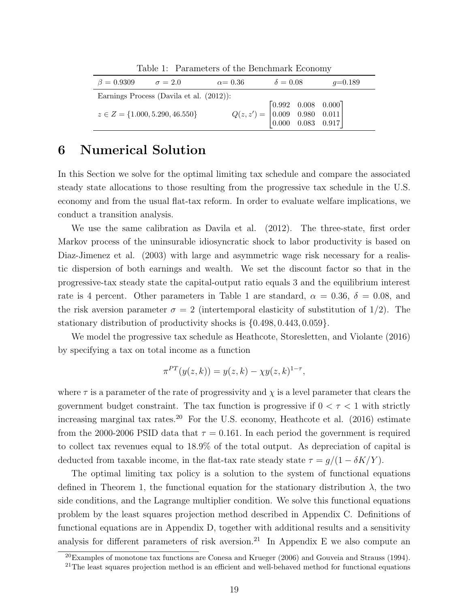| Table 1. Talameters of the Denemiatry Leonomy |                 |                                                                                                                   |           |  |
|-----------------------------------------------|-----------------|-------------------------------------------------------------------------------------------------------------------|-----------|--|
| $\beta = 0.9309$ $\sigma = 2.0$               | $\alpha = 0.36$ | $\delta = 0.08$                                                                                                   | $q=0.189$ |  |
| Earnings Process (Davila et al. $(2012)$ ):   |                 |                                                                                                                   |           |  |
| $z \in Z = \{1.000, 5.290, 46.550\}$          |                 | $Q(z,z') = \begin{bmatrix} 0.992 & 0.008 & 0.000 \\ 0.009 & 0.980 & 0.011 \\ 0.000 & 0.083 & 0.917 \end{bmatrix}$ |           |  |

Table 1: Parameters of the Benchmark Economy

## 6 Numerical Solution

In this Section we solve for the optimal limiting tax schedule and compare the associated steady state allocations to those resulting from the progressive tax schedule in the U.S. economy and from the usual flat-tax reform. In order to evaluate welfare implications, we conduct a transition analysis.

We use the same calibration as Davila et al. (2012). The three-state, first order Markov process of the uninsurable idiosyncratic shock to labor productivity is based on Diaz-Jimenez et al. (2003) with large and asymmetric wage risk necessary for a realistic dispersion of both earnings and wealth. We set the discount factor so that in the progressive-tax steady state the capital-output ratio equals 3 and the equilibrium interest rate is 4 percent. Other parameters in Table 1 are standard,  $\alpha = 0.36, \delta = 0.08, \text{ and}$ the risk aversion parameter  $\sigma = 2$  (intertemporal elasticity of substitution of 1/2). The stationary distribution of productivity shocks is {0.498, 0.443, 0.059}.

We model the progressive tax schedule as Heathcote, Storesletten, and Violante (2016) by specifying a tax on total income as a function

$$
\pi^{PT}(y(z,k)) = y(z,k) - \chi y(z,k)^{1-\tau},
$$

where  $\tau$  is a parameter of the rate of progressivity and  $\chi$  is a level parameter that clears the government budget constraint. The tax function is progressive if  $0 < \tau < 1$  with strictly increasing marginal tax rates.<sup>20</sup> For the U.S. economy, Heathcote et al.  $(2016)$  estimate from the 2000-2006 PSID data that  $\tau = 0.161$ . In each period the government is required to collect tax revenues equal to 18.9% of the total output. As depreciation of capital is deducted from taxable income, in the flat-tax rate steady state  $\tau = g/(1 - \delta K/Y)$ .

The optimal limiting tax policy is a solution to the system of functional equations defined in Theorem 1, the functional equation for the stationary distribution  $\lambda$ , the two side conditions, and the Lagrange multiplier condition. We solve this functional equations problem by the least squares projection method described in Appendix C. Definitions of functional equations are in Appendix D, together with additional results and a sensitivity analysis for different parameters of risk aversion.<sup>21</sup> In Appendix E we also compute an

 $^{20}$ Examples of monotone tax functions are Conesa and Krueger (2006) and Gouveia and Strauss (1994).

 $21$ The least squares projection method is an efficient and well-behaved method for functional equations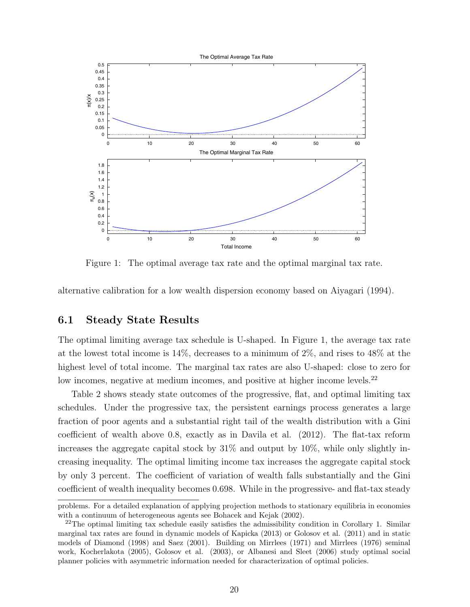

Figure 1: The optimal average tax rate and the optimal marginal tax rate.

alternative calibration for a low wealth dispersion economy based on Aiyagari (1994).

#### 6.1 Steady State Results

The optimal limiting average tax schedule is U-shaped. In Figure 1, the average tax rate at the lowest total income is 14%, decreases to a minimum of 2%, and rises to 48% at the highest level of total income. The marginal tax rates are also U-shaped: close to zero for low incomes, negative at medium incomes, and positive at higher income levels.<sup>22</sup>

Table 2 shows steady state outcomes of the progressive, flat, and optimal limiting tax schedules. Under the progressive tax, the persistent earnings process generates a large fraction of poor agents and a substantial right tail of the wealth distribution with a Gini coefficient of wealth above 0.8, exactly as in Davila et al. (2012). The flat-tax reform increases the aggregate capital stock by  $31\%$  and output by  $10\%$ , while only slightly increasing inequality. The optimal limiting income tax increases the aggregate capital stock by only 3 percent. The coefficient of variation of wealth falls substantially and the Gini coefficient of wealth inequality becomes 0.698. While in the progressive- and flat-tax steady

problems. For a detailed explanation of applying projection methods to stationary equilibria in economies with a continuum of heterogeneous agents see Bohacek and Kejak (2002).

<sup>&</sup>lt;sup>22</sup>The optimal limiting tax schedule easily satisfies the admissibility condition in Corollary 1. Similar marginal tax rates are found in dynamic models of Kapicka (2013) or Golosov et al. (2011) and in static models of Diamond (1998) and Saez (2001). Building on Mirrlees (1971) and Mirrlees (1976) seminal work, Kocherlakota (2005), Golosov et al. (2003), or Albanesi and Sleet (2006) study optimal social planner policies with asymmetric information needed for characterization of optimal policies.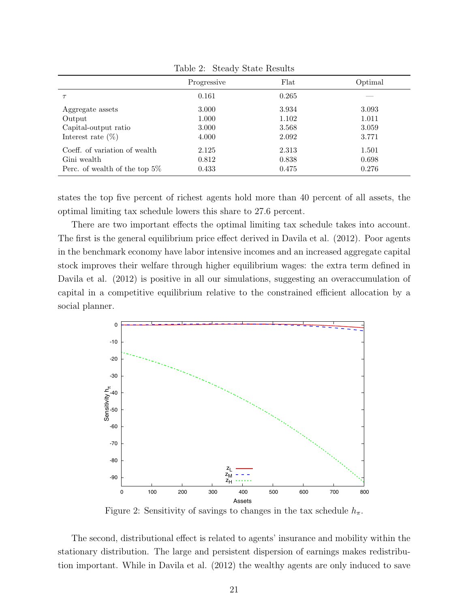|                                  | $\cdot$     |       |         |
|----------------------------------|-------------|-------|---------|
|                                  | Progressive | Flat  | Optimal |
|                                  | 0.161       | 0.265 |         |
| Aggregate assets                 | 3.000       | 3.934 | 3.093   |
| Output                           | 1.000       | 1.102 | 1.011   |
| Capital-output ratio             | 3.000       | 3.568 | 3.059   |
| Interest rate $(\%)$             | 4.000       | 2.092 | 3.771   |
| Coeff. of variation of wealth    | 2.125       | 2.313 | 1.501   |
| Gini wealth                      | 0.812       | 0.838 | 0.698   |
| Perc. of wealth of the top $5\%$ | 0.433       | 0.475 | 0.276   |

Table 2: Steady State Results

states the top five percent of richest agents hold more than 40 percent of all assets, the optimal limiting tax schedule lowers this share to 27.6 percent.

There are two important effects the optimal limiting tax schedule takes into account. The first is the general equilibrium price effect derived in Davila et al. (2012). Poor agents in the benchmark economy have labor intensive incomes and an increased aggregate capital stock improves their welfare through higher equilibrium wages: the extra term defined in Davila et al. (2012) is positive in all our simulations, suggesting an overaccumulation of capital in a competitive equilibrium relative to the constrained efficient allocation by a social planner.



Figure 2: Sensitivity of savings to changes in the tax schedule  $h_{\pi}$ .

The second, distributional effect is related to agents' insurance and mobility within the stationary distribution. The large and persistent dispersion of earnings makes redistribution important. While in Davila et al. (2012) the wealthy agents are only induced to save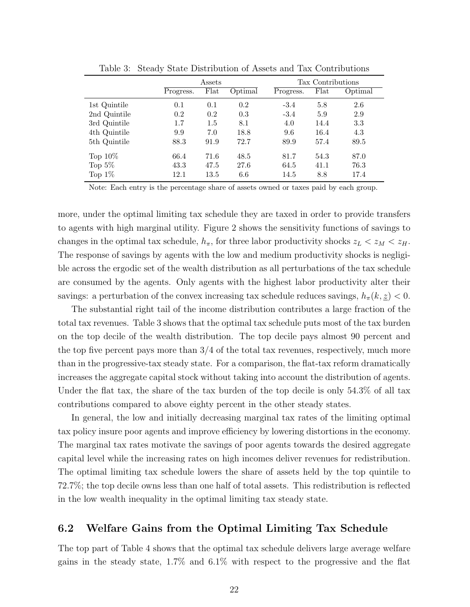|              | Assets    |      | Tax Contributions |           |      |         |
|--------------|-----------|------|-------------------|-----------|------|---------|
|              | Progress. | Flat | Optimal           | Progress. | Flat | Optimal |
| 1st Quintile | 0.1       | 0.1  | 0.2               | $-3.4$    | 5.8  | 2.6     |
| 2nd Quintile | 0.2       | 0.2  | 0.3               | $-3.4$    | 5.9  | 2.9     |
| 3rd Quintile | 1.7       | 1.5  | 8.1               | 4.0       | 14.4 | 3.3     |
| 4th Quintile | 9.9       | 7.0  | 18.8              | 9.6       | 16.4 | 4.3     |
| 5th Quintile | 88.3      | 91.9 | 72.7              | 89.9      | 57.4 | 89.5    |
| Top $10\%$   | 66.4      | 71.6 | 48.5              | 81.7      | 54.3 | 87.0    |
| Top $5\%$    | 43.3      | 47.5 | 27.6              | 64.5      | 41.1 | 76.3    |
| Top $1\%$    | 12.1      | 13.5 | 6.6               | 14.5      | 8.8  | 17.4    |

Table 3: Steady State Distribution of Assets and Tax Contributions

Note: Each entry is the percentage share of assets owned or taxes paid by each group.

more, under the optimal limiting tax schedule they are taxed in order to provide transfers to agents with high marginal utility. Figure 2 shows the sensitivity functions of savings to changes in the optimal tax schedule,  $h_{\pi}$ , for three labor productivity shocks  $z_L < z_M < z_H$ . The response of savings by agents with the low and medium productivity shocks is negligible across the ergodic set of the wealth distribution as all perturbations of the tax schedule are consumed by the agents. Only agents with the highest labor productivity alter their savings: a perturbation of the convex increasing tax schedule reduces savings,  $h_{\pi}(k, z) < 0$ .

The substantial right tail of the income distribution contributes a large fraction of the total tax revenues. Table 3 shows that the optimal tax schedule puts most of the tax burden on the top decile of the wealth distribution. The top decile pays almost 90 percent and the top five percent pays more than  $3/4$  of the total tax revenues, respectively, much more than in the progressive-tax steady state. For a comparison, the flat-tax reform dramatically increases the aggregate capital stock without taking into account the distribution of agents. Under the flat tax, the share of the tax burden of the top decile is only 54.3% of all tax contributions compared to above eighty percent in the other steady states.

In general, the low and initially decreasing marginal tax rates of the limiting optimal tax policy insure poor agents and improve efficiency by lowering distortions in the economy. The marginal tax rates motivate the savings of poor agents towards the desired aggregate capital level while the increasing rates on high incomes deliver revenues for redistribution. The optimal limiting tax schedule lowers the share of assets held by the top quintile to 72.7%; the top decile owns less than one half of total assets. This redistribution is reflected in the low wealth inequality in the optimal limiting tax steady state.

### 6.2 Welfare Gains from the Optimal Limiting Tax Schedule

The top part of Table 4 shows that the optimal tax schedule delivers large average welfare gains in the steady state, 1.7% and 6.1% with respect to the progressive and the flat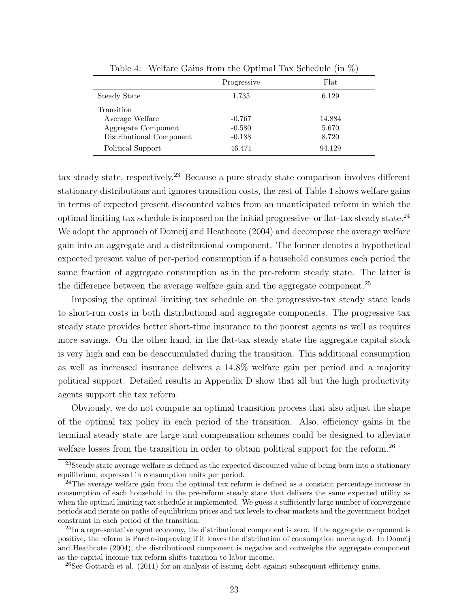|                          | Progressive | Flat   |
|--------------------------|-------------|--------|
| Steady State             | 1.735       | 6.129  |
| Transition               |             |        |
| Average Welfare          | $-0.767$    | 14.884 |
| Aggregate Component      | $-0.580$    | 5.670  |
| Distributional Component | $-0.188$    | 8.720  |
| Political Support        | 46.471      | 94.129 |

Table 4: Welfare Gains from the Optimal Tax Schedule (in %)

tax steady state, respectively.<sup>23</sup> Because a pure steady state comparison involves different stationary distributions and ignores transition costs, the rest of Table 4 shows welfare gains in terms of expected present discounted values from an unanticipated reform in which the optimal limiting tax schedule is imposed on the initial progressive- or flat-tax steady state.<sup>24</sup> We adopt the approach of Domeij and Heathcote  $(2004)$  and decompose the average welfare gain into an aggregate and a distributional component. The former denotes a hypothetical expected present value of per-period consumption if a household consumes each period the same fraction of aggregate consumption as in the pre-reform steady state. The latter is the difference between the average welfare gain and the aggregate component.<sup>25</sup>

Imposing the optimal limiting tax schedule on the progressive-tax steady state leads to short-run costs in both distributional and aggregate components. The progressive tax steady state provides better short-time insurance to the poorest agents as well as requires more savings. On the other hand, in the flat-tax steady state the aggregate capital stock is very high and can be deaccumulated during the transition. This additional consumption as well as increased insurance delivers a 14.8% welfare gain per period and a majority political support. Detailed results in Appendix D show that all but the high productivity agents support the tax reform.

Obviously, we do not compute an optimal transition process that also adjust the shape of the optimal tax policy in each period of the transition. Also, efficiency gains in the terminal steady state are large and compensation schemes could be designed to alleviate welfare losses from the transition in order to obtain political support for the reform.<sup>26</sup>

 $^{23}$ Steady state average welfare is defined as the expected discounted value of being born into a stationary equilibrium, expressed in consumption units per period.

<sup>&</sup>lt;sup>24</sup>The average welfare gain from the optimal tax reform is defined as a constant percentage increase in consumption of each household in the pre-reform steady state that delivers the same expected utility as when the optimal limiting tax schedule is implemented. We guess a sufficiently large number of convergence periods and iterate on paths of equilibrium prices and tax levels to clear markets and the government budget constraint in each period of the transition.

 $^{25}$ In a representative agent economy, the distributional component is zero. If the aggregate component is positive, the reform is Pareto-improving if it leaves the distribution of consumption unchanged. In Domeij and Heathcote (2004), the distributional component is negative and outweighs the aggregate component as the capital income tax reform shifts taxation to labor income.

<sup>&</sup>lt;sup>26</sup>See Gottardi et al.  $(2011)$  for an analysis of issuing debt against subsequent efficiency gains.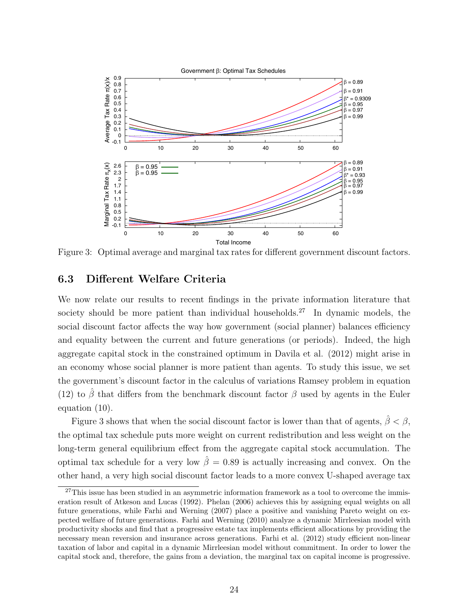

Figure 3: Optimal average and marginal tax rates for different government discount factors.

### 6.3 Different Welfare Criteria

We now relate our results to recent findings in the private information literature that society should be more patient than individual households.<sup>27</sup> In dynamic models, the social discount factor affects the way how government (social planner) balances efficiency and equality between the current and future generations (or periods). Indeed, the high aggregate capital stock in the constrained optimum in Davila et al. (2012) might arise in an economy whose social planner is more patient than agents. To study this issue, we set the government's discount factor in the calculus of variations Ramsey problem in equation (12) to  $\hat{\beta}$  that differs from the benchmark discount factor  $\beta$  used by agents in the Euler equation (10).

Figure 3 shows that when the social discount factor is lower than that of agents,  $\hat{\beta} < \beta$ , the optimal tax schedule puts more weight on current redistribution and less weight on the long-term general equilibrium effect from the aggregate capital stock accumulation. The optimal tax schedule for a very low  $\hat{\beta} = 0.89$  is actually increasing and convex. On the other hand, a very high social discount factor leads to a more convex U-shaped average tax

 $27$ This issue has been studied in an asymmetric information framework as a tool to overcome the immiseration result of Atkeson and Lucas (1992). Phelan (2006) achieves this by assigning equal weights on all future generations, while Farhi and Werning (2007) place a positive and vanishing Pareto weight on expected welfare of future generations. Farhi and Werning (2010) analyze a dynamic Mirrleesian model with productivity shocks and find that a progressive estate tax implements efficient allocations by providing the necessary mean reversion and insurance across generations. Farhi et al. (2012) study efficient non-linear taxation of labor and capital in a dynamic Mirrleesian model without commitment. In order to lower the capital stock and, therefore, the gains from a deviation, the marginal tax on capital income is progressive.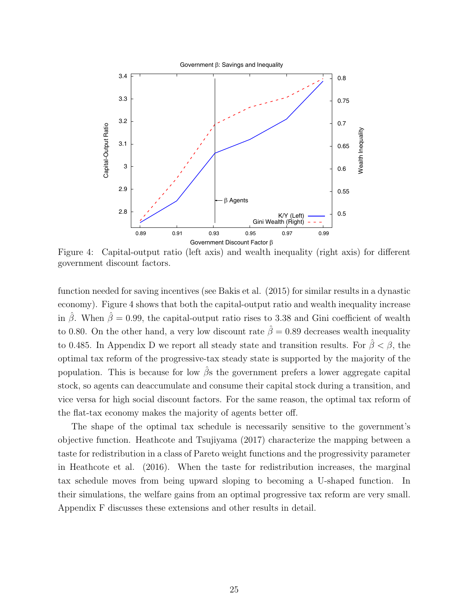

Figure 4: Capital-output ratio (left axis) and wealth inequality (right axis) for different government discount factors.

function needed for saving incentives (see Bakis et al. (2015) for similar results in a dynastic economy). Figure 4 shows that both the capital-output ratio and wealth inequality increase in  $\hat{\beta}$ . When  $\hat{\beta} = 0.99$ , the capital-output ratio rises to 3.38 and Gini coefficient of wealth to 0.80. On the other hand, a very low discount rate  $\hat{\beta} = 0.89$  decreases wealth inequality to 0.485. In Appendix D we report all steady state and transition results. For  $\hat{\beta} < \beta$ , the optimal tax reform of the progressive-tax steady state is supported by the majority of the population. This is because for low  $\beta$ s the government prefers a lower aggregate capital stock, so agents can deaccumulate and consume their capital stock during a transition, and vice versa for high social discount factors. For the same reason, the optimal tax reform of the flat-tax economy makes the majority of agents better off.

The shape of the optimal tax schedule is necessarily sensitive to the government's objective function. Heathcote and Tsujiyama (2017) characterize the mapping between a taste for redistribution in a class of Pareto weight functions and the progressivity parameter in Heathcote et al. (2016). When the taste for redistribution increases, the marginal tax schedule moves from being upward sloping to becoming a U-shaped function. In their simulations, the welfare gains from an optimal progressive tax reform are very small. Appendix F discusses these extensions and other results in detail.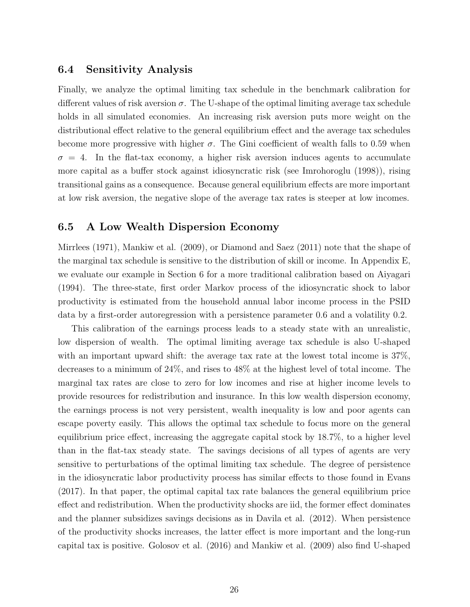#### 6.4 Sensitivity Analysis

Finally, we analyze the optimal limiting tax schedule in the benchmark calibration for different values of risk aversion  $\sigma$ . The U-shape of the optimal limiting average tax schedule holds in all simulated economies. An increasing risk aversion puts more weight on the distributional effect relative to the general equilibrium effect and the average tax schedules become more progressive with higher  $\sigma$ . The Gini coefficient of wealth falls to 0.59 when  $\sigma = 4$ . In the flat-tax economy, a higher risk aversion induces agents to accumulate more capital as a buffer stock against idiosyncratic risk (see Imrohoroglu (1998)), rising transitional gains as a consequence. Because general equilibrium effects are more important at low risk aversion, the negative slope of the average tax rates is steeper at low incomes.

### 6.5 A Low Wealth Dispersion Economy

Mirrlees (1971), Mankiw et al. (2009), or Diamond and Saez (2011) note that the shape of the marginal tax schedule is sensitive to the distribution of skill or income. In Appendix E, we evaluate our example in Section 6 for a more traditional calibration based on Aiyagari (1994). The three-state, first order Markov process of the idiosyncratic shock to labor productivity is estimated from the household annual labor income process in the PSID data by a first-order autoregression with a persistence parameter 0.6 and a volatility 0.2.

This calibration of the earnings process leads to a steady state with an unrealistic, low dispersion of wealth. The optimal limiting average tax schedule is also U-shaped with an important upward shift: the average tax rate at the lowest total income is 37%, decreases to a minimum of 24%, and rises to 48% at the highest level of total income. The marginal tax rates are close to zero for low incomes and rise at higher income levels to provide resources for redistribution and insurance. In this low wealth dispersion economy, the earnings process is not very persistent, wealth inequality is low and poor agents can escape poverty easily. This allows the optimal tax schedule to focus more on the general equilibrium price effect, increasing the aggregate capital stock by 18.7%, to a higher level than in the flat-tax steady state. The savings decisions of all types of agents are very sensitive to perturbations of the optimal limiting tax schedule. The degree of persistence in the idiosyncratic labor productivity process has similar effects to those found in Evans (2017). In that paper, the optimal capital tax rate balances the general equilibrium price effect and redistribution. When the productivity shocks are iid, the former effect dominates and the planner subsidizes savings decisions as in Davila et al. (2012). When persistence of the productivity shocks increases, the latter effect is more important and the long-run capital tax is positive. Golosov et al. (2016) and Mankiw et al. (2009) also find U-shaped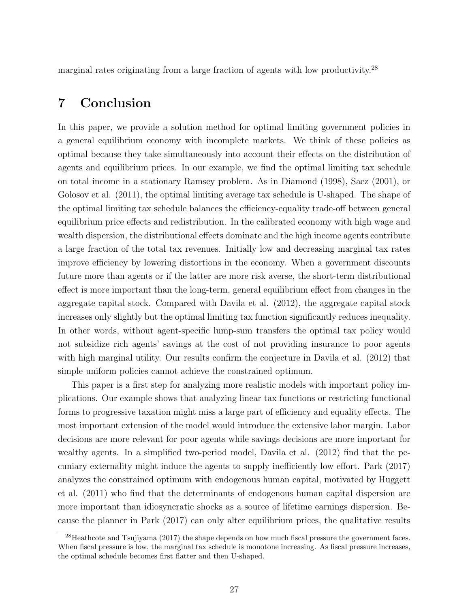marginal rates originating from a large fraction of agents with low productivity.<sup>28</sup>

## 7 Conclusion

In this paper, we provide a solution method for optimal limiting government policies in a general equilibrium economy with incomplete markets. We think of these policies as optimal because they take simultaneously into account their effects on the distribution of agents and equilibrium prices. In our example, we find the optimal limiting tax schedule on total income in a stationary Ramsey problem. As in Diamond (1998), Saez (2001), or Golosov et al. (2011), the optimal limiting average tax schedule is U-shaped. The shape of the optimal limiting tax schedule balances the efficiency-equality trade-off between general equilibrium price effects and redistribution. In the calibrated economy with high wage and wealth dispersion, the distributional effects dominate and the high income agents contribute a large fraction of the total tax revenues. Initially low and decreasing marginal tax rates improve efficiency by lowering distortions in the economy. When a government discounts future more than agents or if the latter are more risk averse, the short-term distributional effect is more important than the long-term, general equilibrium effect from changes in the aggregate capital stock. Compared with Davila et al. (2012), the aggregate capital stock increases only slightly but the optimal limiting tax function significantly reduces inequality. In other words, without agent-specific lump-sum transfers the optimal tax policy would not subsidize rich agents' savings at the cost of not providing insurance to poor agents with high marginal utility. Our results confirm the conjecture in Davila et al. (2012) that simple uniform policies cannot achieve the constrained optimum.

This paper is a first step for analyzing more realistic models with important policy implications. Our example shows that analyzing linear tax functions or restricting functional forms to progressive taxation might miss a large part of efficiency and equality effects. The most important extension of the model would introduce the extensive labor margin. Labor decisions are more relevant for poor agents while savings decisions are more important for wealthy agents. In a simplified two-period model, Davila et al. (2012) find that the pecuniary externality might induce the agents to supply inefficiently low effort. Park (2017) analyzes the constrained optimum with endogenous human capital, motivated by Huggett et al. (2011) who find that the determinants of endogenous human capital dispersion are more important than idiosyncratic shocks as a source of lifetime earnings dispersion. Because the planner in Park (2017) can only alter equilibrium prices, the qualitative results

 $^{28}$ Heathcote and Tsujiyama (2017) the shape depends on how much fiscal pressure the government faces. When fiscal pressure is low, the marginal tax schedule is monotone increasing. As fiscal pressure increases, the optimal schedule becomes first flatter and then U-shaped.